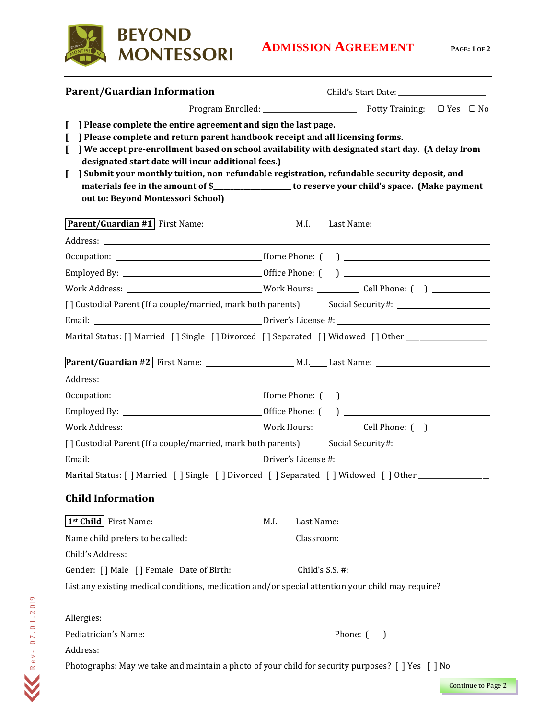

| <b>Parent/Guardian Information</b>                                                                                                                                                                                                                            |                                                                                                                                                                                                                                                                                   |  |  |
|---------------------------------------------------------------------------------------------------------------------------------------------------------------------------------------------------------------------------------------------------------------|-----------------------------------------------------------------------------------------------------------------------------------------------------------------------------------------------------------------------------------------------------------------------------------|--|--|
|                                                                                                                                                                                                                                                               |                                                                                                                                                                                                                                                                                   |  |  |
| Please complete the entire agreement and sign the last page.<br>] Please complete and return parent handbook receipt and all licensing forms.<br>$\mathbf{I}$<br>designated start date will incur additional fees.)<br>L<br>out to: Beyond Montessori School) | We accept pre-enrollment based on school availability with designated start day. (A delay from<br>] Submit your monthly tuition, non-refundable registration, refundable security deposit, and                                                                                    |  |  |
|                                                                                                                                                                                                                                                               |                                                                                                                                                                                                                                                                                   |  |  |
|                                                                                                                                                                                                                                                               |                                                                                                                                                                                                                                                                                   |  |  |
|                                                                                                                                                                                                                                                               |                                                                                                                                                                                                                                                                                   |  |  |
|                                                                                                                                                                                                                                                               |                                                                                                                                                                                                                                                                                   |  |  |
|                                                                                                                                                                                                                                                               | Work Address: ________________________________Work Hours: ____________Cell Phone: ( ) _____________                                                                                                                                                                               |  |  |
|                                                                                                                                                                                                                                                               | [] Custodial Parent (If a couple/married, mark both parents) Social Security#: ____________________                                                                                                                                                                               |  |  |
|                                                                                                                                                                                                                                                               |                                                                                                                                                                                                                                                                                   |  |  |
|                                                                                                                                                                                                                                                               | Marital Status: [] Married [] Single [] Divorced [] Separated [] Widowed [] Other _________________                                                                                                                                                                               |  |  |
|                                                                                                                                                                                                                                                               |                                                                                                                                                                                                                                                                                   |  |  |
|                                                                                                                                                                                                                                                               |                                                                                                                                                                                                                                                                                   |  |  |
|                                                                                                                                                                                                                                                               |                                                                                                                                                                                                                                                                                   |  |  |
|                                                                                                                                                                                                                                                               |                                                                                                                                                                                                                                                                                   |  |  |
|                                                                                                                                                                                                                                                               | Work Address: ________________________________Work Hours: _____________ Cell Phone: ( ) ____________                                                                                                                                                                              |  |  |
| [] Custodial Parent (If a couple/married, mark both parents) Social Security#: ____________________                                                                                                                                                           |                                                                                                                                                                                                                                                                                   |  |  |
|                                                                                                                                                                                                                                                               |                                                                                                                                                                                                                                                                                   |  |  |
|                                                                                                                                                                                                                                                               | Marital Status: [ ] Married [ ] Single [ ] Divorced [ ] Separated [ ] Widowed [ ] Other ____________                                                                                                                                                                              |  |  |
| <b>Child Information</b>                                                                                                                                                                                                                                      |                                                                                                                                                                                                                                                                                   |  |  |
|                                                                                                                                                                                                                                                               |                                                                                                                                                                                                                                                                                   |  |  |
|                                                                                                                                                                                                                                                               |                                                                                                                                                                                                                                                                                   |  |  |
|                                                                                                                                                                                                                                                               |                                                                                                                                                                                                                                                                                   |  |  |
|                                                                                                                                                                                                                                                               | Gender: [] Male [] Female Date of Birth: Child's S.S. #: Child's S.S. #:                                                                                                                                                                                                          |  |  |
| List any existing medical conditions, medication and/or special attention your child may require?                                                                                                                                                             |                                                                                                                                                                                                                                                                                   |  |  |
|                                                                                                                                                                                                                                                               | ,我们也不会有什么。""我们的人,我们也不会有什么?""我们的人,我们也不会有什么?""我们的人,我们也不会有什么?""我们的人,我们也不会有什么?""我们的人                                                                                                                                                                                                  |  |  |
|                                                                                                                                                                                                                                                               |                                                                                                                                                                                                                                                                                   |  |  |
|                                                                                                                                                                                                                                                               |                                                                                                                                                                                                                                                                                   |  |  |
|                                                                                                                                                                                                                                                               | $\mathbf{M}$ and $\mathbf{M}$ and $\mathbf{M}$ are the set of $\mathbf{M}$ and $\mathbf{M}$ are the set of $\mathbf{M}$ and $\mathbf{M}$ are the set of $\mathbf{M}$ and $\mathbf{M}$ are the set of $\mathbf{M}$ and $\mathbf{M}$ are the set of $\mathbf{M}$ and $\mathbf{M}$ a |  |  |